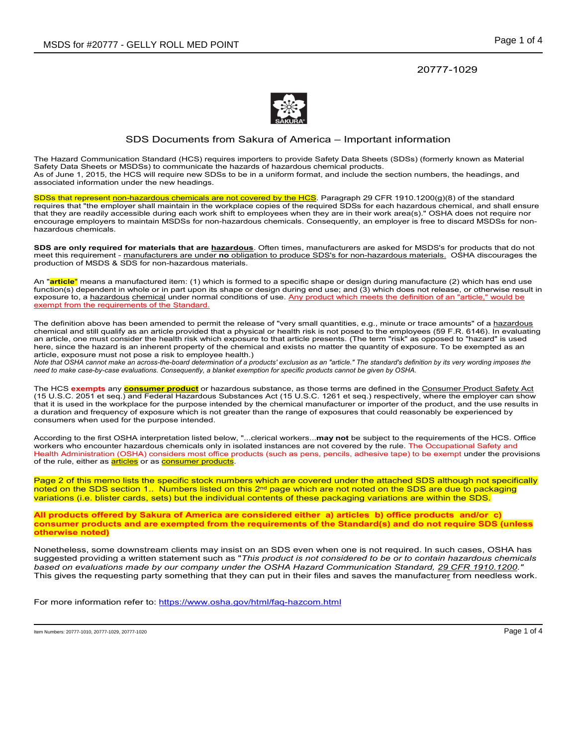20777-1029



## SDS Documents from Sakura of America – Important information

The Hazard Communication Standard (HCS) requires importers to provide Safety Data Sheets (SDSs) (formerly known as Material Safety Data Sheets or MSDSs) to communicate the hazards of hazardous chemical products. As of June 1, 2015, the HCS will require new SDSs to be in a uniform format, and include the section numbers, the headings, and associated information under the new headings.

SDSs that represent non-hazardous chemicals are not covered by the HCS. Paragraph 29 CFR 1910.1200(g)(8) of the standard requires that "the employer shall maintain in the workplace copies of the required SDSs for each hazardous chemical, and shall ensure that they are readily accessible during each work shift to employees when they are in their work area(s)." OSHA does not require nor encourage employers to maintain MSDSs for non-hazardous chemicals. Consequently, an employer is free to discard MSDSs for nonhazardous chemicals.

**SDS are only required for materials that are hazardous**. Often times, manufacturers are asked for MSDS's for products that do not meet this requirement - manufacturers are under **no** obligation to produce SDS's for non-hazardous materials. OSHA discourages the production of MSDS & SDS for non-hazardous materials.

An "**article**" means a manufactured item: (1) which is formed to a specific shape or design during manufacture (2) which has end use function(s) dependent in whole or in part upon its shape or design during end use; and (3) which does not release, or otherwise result in exposure to, a hazardous chemical under normal conditions of use. Any product which meets the definition of an "article," would be exempt from the requirements of the Standard.

The definition above has been amended to permit the release of "very small quantities, e.g., minute or trace amounts" of a hazardous chemical and still qualify as an article provided that a physical or health risk is not posed to the employees (59 F.R. 6146). In evaluating an article, one must consider the health risk which exposure to that article presents. (The term "risk" as opposed to "hazard" is used here, since the hazard is an inherent property of the chemical and exists no matter the quantity of exposure. To be exempted as an article, exposure must not pose a risk to employee health.)

*Note that OSHA cannot make an across-the-board determination of a products' exclusion as an "article." The standard's definition by its very wording imposes the need to make case-by-case evaluations. Consequently, a blanket exemption for specific products cannot be given by OSHA.*

The HCS **exempts** any **consumer product** or hazardous substance, as those terms are defined in the Consumer Product Safety Act (15 U.S.C. 2051 et seq.) and Federal Hazardous Substances Act (15 U.S.C. 1261 et seq.) respectively, where the employer can show that it is used in the workplace for the purpose intended by the chemical manufacturer or importer of the product, and the use results in a duration and frequency of exposure which is not greater than the range of exposures that could reasonably be experienced by consumers when used for the purpose intended.

According to the first OSHA interpretation listed below, "...clerical workers...**may not** be subject to the requirements of the HCS. Office workers who encounter hazardous chemicals only in isolated instances are not covered by the rule. The Occupational Safety and Health Administration (OSHA) considers most office products (such as pens, pencils, adhesive tape) to be exempt under the provisions of the rule, either as **articles** or as **consumer products**.

Page 2 of this memo lists the specific stock numbers which are covered under the attached SDS although not specifically noted on the SDS section 1.. Numbers listed on this 2<sup>nd</sup> page which are not noted on the SDS are due to packaging variations (i.e. blister cards, sets) but the individual contents of these packaging variations are within the SDS.

**All products offered by Sakura of America are considered either a) articles b) office products and/or c) consumer products and are exempted from the requirements of the Standard(s) and do not require SDS (unless otherwise noted)** 

Nonetheless, some downstream clients may insist on an SDS even when one is not required. In such cases, OSHA has suggested providing a written statement such as "*This product is not considered to be or to contain hazardous chemicals based on evaluations made by our company under the OSHA Hazard Communication Standard, 29 CFR 1910.1200."* This gives the requesting party something that they can put in their files and saves the manufacturer from needless work.

For more information refer to: https://www.osha.gov/html/faq-hazcom.html

Item Numbers: 20777-1010, 20777-1029, 20777-1020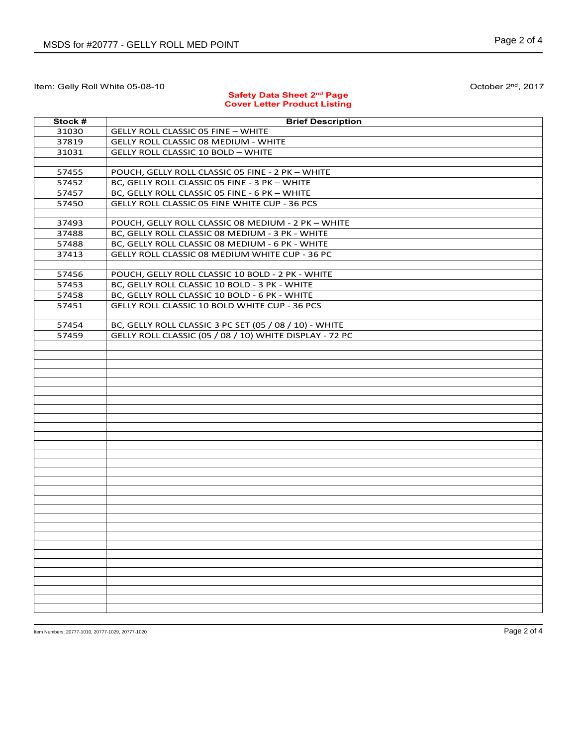## **Safety Data Sheet 2nd Page Cover Letter Product Listing**

| Stock # | <b>Brief Description</b>                                |
|---------|---------------------------------------------------------|
| 31030   | <b>GELLY ROLL CLASSIC 05 FINE - WHITE</b>               |
| 37819   | <b>GELLY ROLL CLASSIC 08 MEDIUM - WHITE</b>             |
| 31031   | <b>GELLY ROLL CLASSIC 10 BOLD - WHITE</b>               |
|         |                                                         |
| 57455   | POUCH, GELLY ROLL CLASSIC 05 FINE - 2 PK - WHITE        |
| 57452   | BC, GELLY ROLL CLASSIC 05 FINE - 3 PK - WHITE           |
| 57457   | BC, GELLY ROLL CLASSIC 05 FINE - 6 PK - WHITE           |
| 57450   |                                                         |
|         | GELLY ROLL CLASSIC 05 FINE WHITE CUP - 36 PCS           |
| 37493   | POUCH, GELLY ROLL CLASSIC 08 MEDIUM - 2 PK - WHITE      |
| 37488   | BC, GELLY ROLL CLASSIC 08 MEDIUM - 3 PK - WHITE         |
| 57488   | BC, GELLY ROLL CLASSIC 08 MEDIUM - 6 PK - WHITE         |
|         | <b>GELLY ROLL CLASSIC 08 MEDIUM WHITE CUP - 36 PC</b>   |
| 37413   |                                                         |
| 57456   | POUCH, GELLY ROLL CLASSIC 10 BOLD - 2 PK - WHITE        |
| 57453   | BC, GELLY ROLL CLASSIC 10 BOLD - 3 PK - WHITE           |
|         | BC, GELLY ROLL CLASSIC 10 BOLD - 6 PK - WHITE           |
| 57458   |                                                         |
| 57451   | GELLY ROLL CLASSIC 10 BOLD WHITE CUP - 36 PCS           |
| 57454   | BC, GELLY ROLL CLASSIC 3 PC SET (05 / 08 / 10) - WHITE  |
| 57459   | GELLY ROLL CLASSIC (05 / 08 / 10) WHITE DISPLAY - 72 PC |
|         |                                                         |
|         |                                                         |
|         |                                                         |
|         |                                                         |
|         |                                                         |
|         |                                                         |
|         |                                                         |
|         |                                                         |
|         |                                                         |
|         |                                                         |
|         |                                                         |
|         |                                                         |
|         |                                                         |
|         |                                                         |
|         |                                                         |
|         |                                                         |
|         |                                                         |
|         |                                                         |
|         |                                                         |
|         |                                                         |
|         |                                                         |
|         |                                                         |
|         |                                                         |
|         |                                                         |
|         |                                                         |
|         |                                                         |
|         |                                                         |
|         |                                                         |

Item Numbers: 20777-1010, 20777-1029, 20777-1020 Page 2 of 4

October 2<sup>nd</sup>, 2017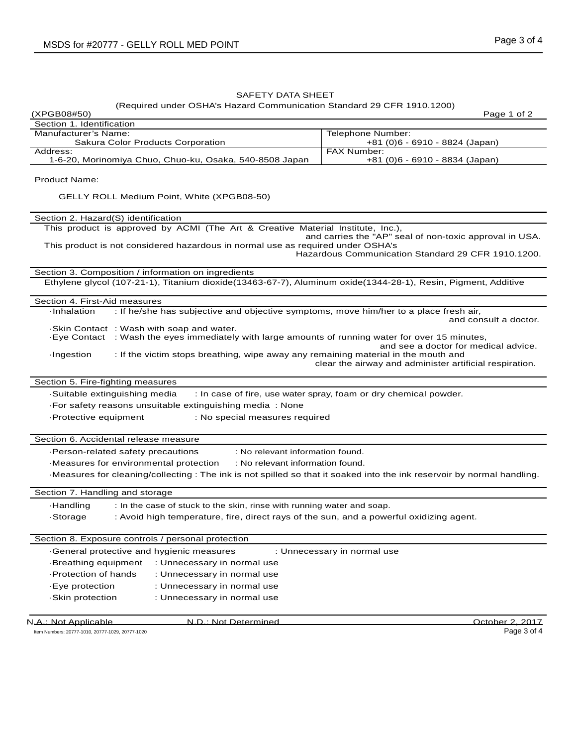## SAFETY DATA SHEET

## (Required under OSHA's Hazard Communication Standard 29 CFR 1910.1200)

| (XPGB08#50)                                                                                                                                    | Page 1 of 2                                                                                                   |  |  |  |
|------------------------------------------------------------------------------------------------------------------------------------------------|---------------------------------------------------------------------------------------------------------------|--|--|--|
| Section 1. Identification                                                                                                                      |                                                                                                               |  |  |  |
| Manufacturer's Name:<br>Sakura Color Products Corporation                                                                                      | Telephone Number:<br>+81 (0)6 - 6910 - 8824 (Japan)                                                           |  |  |  |
| Address:<br>1-6-20, Morinomiya Chuo, Chuo-ku, Osaka, 540-8508 Japan                                                                            | <b>FAX Number:</b><br>+81 (0)6 - 6910 - 8834 (Japan)                                                          |  |  |  |
|                                                                                                                                                |                                                                                                               |  |  |  |
| <b>Product Name:</b>                                                                                                                           |                                                                                                               |  |  |  |
| GELLY ROLL Medium Point, White (XPGB08-50)                                                                                                     |                                                                                                               |  |  |  |
| Section 2. Hazard(S) identification                                                                                                            |                                                                                                               |  |  |  |
| This product is approved by ACMI (The Art & Creative Material Institute, Inc.),                                                                |                                                                                                               |  |  |  |
| This product is not considered hazardous in normal use as required under OSHA's                                                                | and carries the "AP" seal of non-toxic approval in USA.<br>Hazardous Communication Standard 29 CFR 1910.1200. |  |  |  |
| Section 3. Composition / information on ingredients                                                                                            |                                                                                                               |  |  |  |
| Ethylene glycol (107-21-1), Titanium dioxide(13463-67-7), Aluminum oxide(1344-28-1), Resin, Pigment, Additive                                  |                                                                                                               |  |  |  |
| Section 4. First-Aid measures                                                                                                                  |                                                                                                               |  |  |  |
| : If he/she has subjective and objective symptoms, move him/her to a place fresh air,<br>·Inhalation                                           |                                                                                                               |  |  |  |
|                                                                                                                                                | and consult a doctor.                                                                                         |  |  |  |
| . Skin Contact: Wash with soap and water.<br>-Eye Contact : Wash the eyes immediately with large amounts of running water for over 15 minutes, |                                                                                                               |  |  |  |
|                                                                                                                                                | and see a doctor for medical advice.                                                                          |  |  |  |
| : If the victim stops breathing, wipe away any remaining material in the mouth and<br>·Ingestion                                               | clear the airway and administer artificial respiration.                                                       |  |  |  |
| Section 5. Fire-fighting measures                                                                                                              |                                                                                                               |  |  |  |
| Suitable extinguishing media                                                                                                                   | : In case of fire, use water spray, foam or dry chemical powder.                                              |  |  |  |
| · For safety reasons unsuitable extinguishing media: None                                                                                      |                                                                                                               |  |  |  |
| -Protective equipment<br>: No special measures required                                                                                        |                                                                                                               |  |  |  |
|                                                                                                                                                |                                                                                                               |  |  |  |
| Section 6. Accidental release measure                                                                                                          |                                                                                                               |  |  |  |
| : No relevant information found.<br>-Person-related safety precautions                                                                         |                                                                                                               |  |  |  |
| -Measures for environmental protection<br>: No relevant information found.                                                                     |                                                                                                               |  |  |  |
| -Measures for cleaning/collecting: The ink is not spilled so that it soaked into the ink reservoir by normal handling.                         |                                                                                                               |  |  |  |
| Section 7. Handling and storage                                                                                                                |                                                                                                               |  |  |  |
| <b>Handling</b><br>: In the case of stuck to the skin, rinse with running water and soap.                                                      |                                                                                                               |  |  |  |
| ·Storage<br>: Avoid high temperature, fire, direct rays of the sun, and a powerful oxidizing agent.                                            |                                                                                                               |  |  |  |
|                                                                                                                                                |                                                                                                               |  |  |  |
| Section 8. Exposure controls / personal protection                                                                                             |                                                                                                               |  |  |  |
| -General protective and hygienic measures                                                                                                      | : Unnecessary in normal use                                                                                   |  |  |  |
| -Breathing equipment<br>: Unnecessary in normal use                                                                                            |                                                                                                               |  |  |  |
| Protection of hands<br>: Unnecessary in normal use                                                                                             |                                                                                                               |  |  |  |
| : Unnecessary in normal use<br>-Eye protection                                                                                                 |                                                                                                               |  |  |  |
| : Unnecessary in normal use<br>-Skin protection                                                                                                |                                                                                                               |  |  |  |
|                                                                                                                                                |                                                                                                               |  |  |  |
| N.A.: Not Applicable<br>N.D.: Not Determined                                                                                                   | October 2, 2017                                                                                               |  |  |  |

Item Numbers: 20777-1010, 20777-1029, 20777-1020 Page 3 of 4